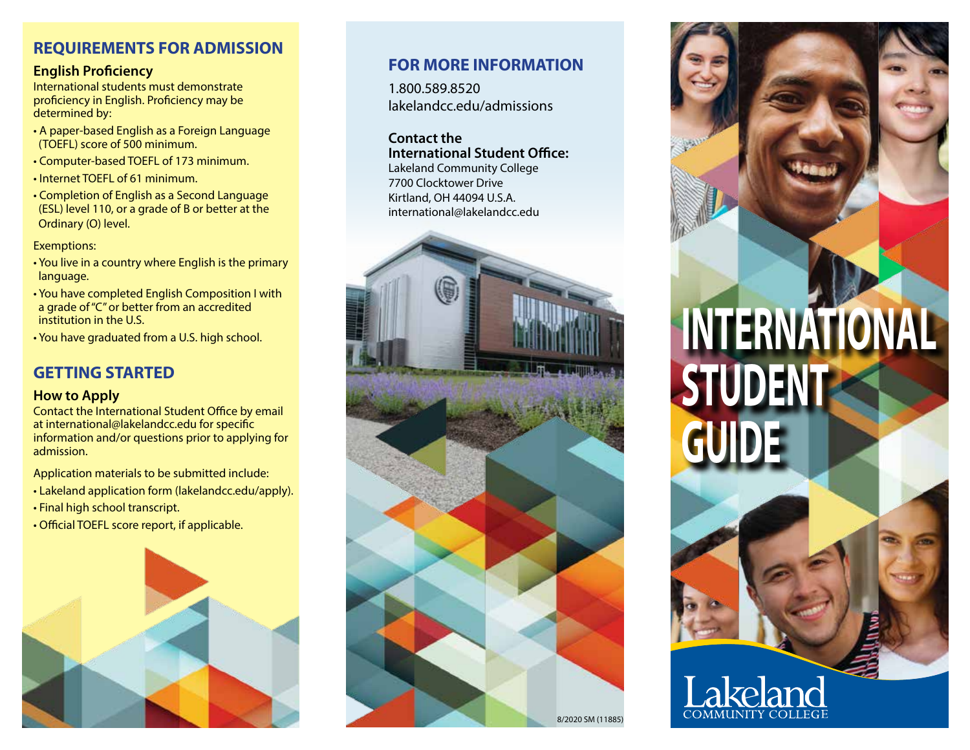## **REQUIREMENTS FOR ADMISSION**

#### **English Proficiency**

International students must demonstrate proficiency in English. Proficiency may be determined by:

- A paper-based English as a Foreign Language (TOEFL) score of 500 minimum.
- Computer-based TOEFL of 173 minimum.
- Internet TOEFL of 61 minimum.
- Completion of English as a Second Language (ESL) level 110, or a grade of B or better at the Ordinary (O) level.

Exemptions:

- You live in a country where English is the primary language.
- You have completed English Composition I with a grade of "C" or better from an accredited institution in the U.S.
- You have graduated from a U.S. high school.

## **GETTING STARTED**

#### **How to Apply**

Contact the International Student Office by email at international@lakelandcc.edu for specific information and/or questions prior to applying for admission.

Application materials to be submitted include:

- Lakeland application form (lakelandcc.edu/apply).
- Final high school transcript.
- Official TOEFL score report, if applicable.



## **FOR MORE INFORMATION**

1.800.589.8520 lakelandcc.edu/admissions

#### **Contact the International Student Office:**

Lakeland Community College 7700 Clocktower Drive Kirtland, OH 44094 U.S.A. international@lakelandcc.edu



**INTERNATIONAL STUDENT GUIDE**